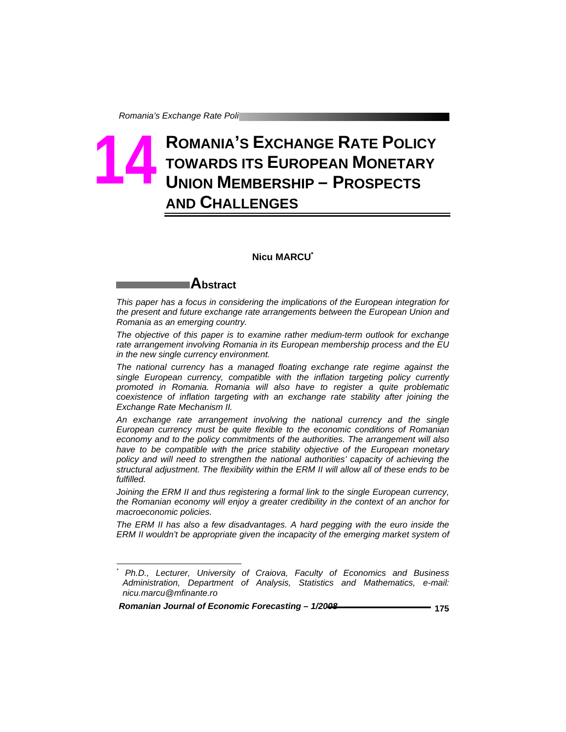# **ROMANIA'S EXCHANGE RATE POLICY TOWARDS ITS EUROPEAN MONETARY UNION MEMBERSHIP – PROSPECTS AND CHALLENGES 14**

#### **Nicu MARCU\***

## **Abstract**

-

*This paper has a focus in considering the implications of the European integration for the present and future exchange rate arrangements between the European Union and Romania as an emerging country.* 

*The objective of this paper is to examine rather medium-term outlook for exchange rate arrangement involving Romania in its European membership process and the EU in the new single currency environment.* 

*The national currency has a managed floating exchange rate regime against the single European currency, compatible with the inflation targeting policy currently promoted in Romania. Romania will also have to register a quite problematic coexistence of inflation targeting with an exchange rate stability after joining the Exchange Rate Mechanism II.* 

*An exchange rate arrangement involving the national currency and the single European currency must be quite flexible to the economic conditions of Romanian economy and to the policy commitments of the authorities. The arrangement will also*  have to be compatible with the price stability objective of the European monetary *policy and will need to strengthen the national authorities' capacity of achieving the structural adjustment. The flexibility within the ERM II will allow all of these ends to be fulfilled.* 

*Joining the ERM II and thus registering a formal link to the single European currency, the Romanian economy will enjoy a greater credibility in the context of an anchor for macroeconomic policies.* 

*The ERM II has also a few disadvantages. A hard pegging with the euro inside the ERM II wouldn't be appropriate given the incapacity of the emerging market system of* 

*<sup>\*</sup> Ph.D., Lecturer, University of Craiova, Faculty of Economics and Business Administration, Department of Analysis, Statistics and Mathematics, e-mail: nicu.marcu@mfinante.ro*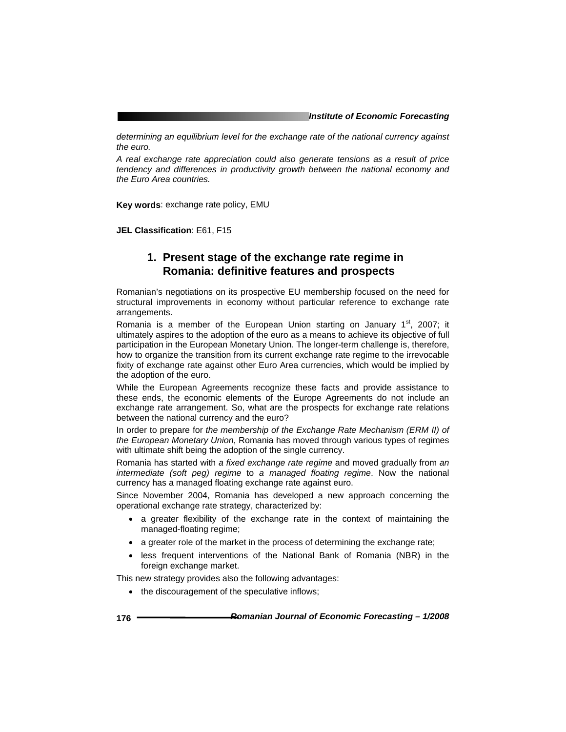*determining an equilibrium level for the exchange rate of the national currency against the euro.* 

*A real exchange rate appreciation could also generate tensions as a result of price tendency and differences in productivity growth between the national economy and the Euro Area countries.*

**Key words**: exchange rate policy, EMU

**JEL Classification**: E61, F15

### **1. Present stage of the exchange rate regime in Romania: definitive features and prospects**

Romanian's negotiations on its prospective EU membership focused on the need for structural improvements in economy without particular reference to exchange rate arrangements.

Romania is a member of the European Union starting on January  $1<sup>st</sup>$ , 2007; it ultimately aspires to the adoption of the euro as a means to achieve its objective of full participation in the European Monetary Union. The longer-term challenge is, therefore, how to organize the transition from its current exchange rate regime to the irrevocable fixity of exchange rate against other Euro Area currencies, which would be implied by the adoption of the euro.

While the European Agreements recognize these facts and provide assistance to these ends, the economic elements of the Europe Agreements do not include an exchange rate arrangement. So, what are the prospects for exchange rate relations between the national currency and the euro?

In order to prepare for *the membership of the Exchange Rate Mechanism (ERM II) of the European Monetary Union*, Romania has moved through various types of regimes with ultimate shift being the adoption of the single currency.

Romania has started with *a fixed exchange rate regime* and moved gradually from *an intermediate (soft peg) regime* to *a managed floating regime*. Now the national currency has a managed floating exchange rate against euro.

Since November 2004, Romania has developed a new approach concerning the operational exchange rate strategy, characterized by:

- a greater flexibility of the exchange rate in the context of maintaining the managed-floating regime;
- a greater role of the market in the process of determining the exchange rate;
- less frequent interventions of the National Bank of Romania (NBR) in the foreign exchange market.

This new strategy provides also the following advantages:

• the discouragement of the speculative inflows;

**176** *Romanian Journal of Economic Forecasting – 1/2008*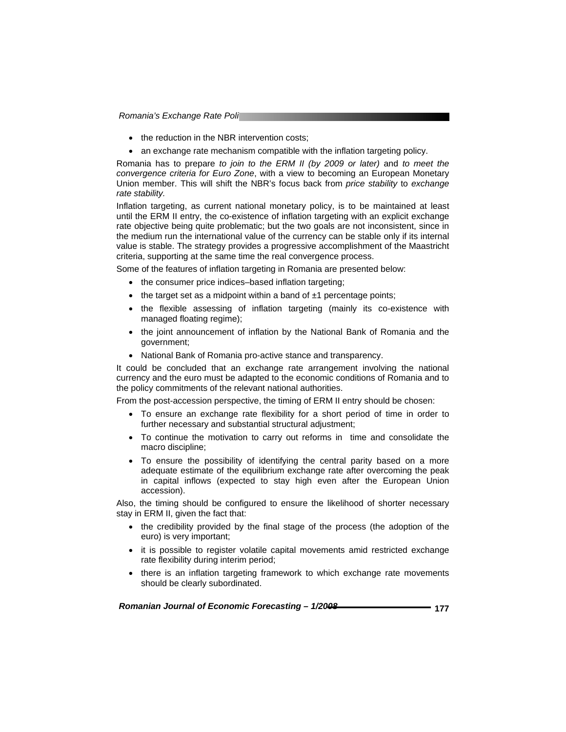*Romania's Exchange Rate Poli* 

- the reduction in the NBR intervention costs;
- an exchange rate mechanism compatible with the inflation targeting policy.

Romania has to prepare *to join to the ERM II (by 2009 or later)* and *to meet the convergence criteria for Euro Zone*, with a view to becoming an European Monetary Union member. This will shift the NBR's focus back from *price stability* to *exchange rate stability.*

Inflation targeting, as current national monetary policy, is to be maintained at least until the ERM II entry, the co-existence of inflation targeting with an explicit exchange rate objective being quite problematic; but the two goals are not inconsistent, since in the medium run the international value of the currency can be stable only if its internal value is stable. The strategy provides a progressive accomplishment of the Maastricht criteria, supporting at the same time the real convergence process.

Some of the features of inflation targeting in Romania are presented below:

- the consumer price indices–based inflation targeting;
- the target set as a midpoint within a band of  $\pm 1$  percentage points;
- the flexible assessing of inflation targeting (mainly its co-existence with managed floating regime);
- the joint announcement of inflation by the National Bank of Romania and the government;
- National Bank of Romania pro-active stance and transparency.

It could be concluded that an exchange rate arrangement involving the national currency and the euro must be adapted to the economic conditions of Romania and to the policy commitments of the relevant national authorities.

From the post-accession perspective, the timing of ERM II entry should be chosen:

- To ensure an exchange rate flexibility for a short period of time in order to further necessary and substantial structural adjustment;
- To continue the motivation to carry out reforms in time and consolidate the macro discipline;
- To ensure the possibility of identifying the central parity based on a more adequate estimate of the equilibrium exchange rate after overcoming the peak in capital inflows (expected to stay high even after the European Union accession).

Also, the timing should be configured to ensure the likelihood of shorter necessary stay in ERM II, given the fact that:

- the credibility provided by the final stage of the process (the adoption of the euro) is very important;
- it is possible to register volatile capital movements amid restricted exchange rate flexibility during interim period;
- there is an inflation targeting framework to which exchange rate movements should be clearly subordinated.

| Romanian Journal of Economic Forecasting - 1/2008 | . 177 |
|---------------------------------------------------|-------|
|---------------------------------------------------|-------|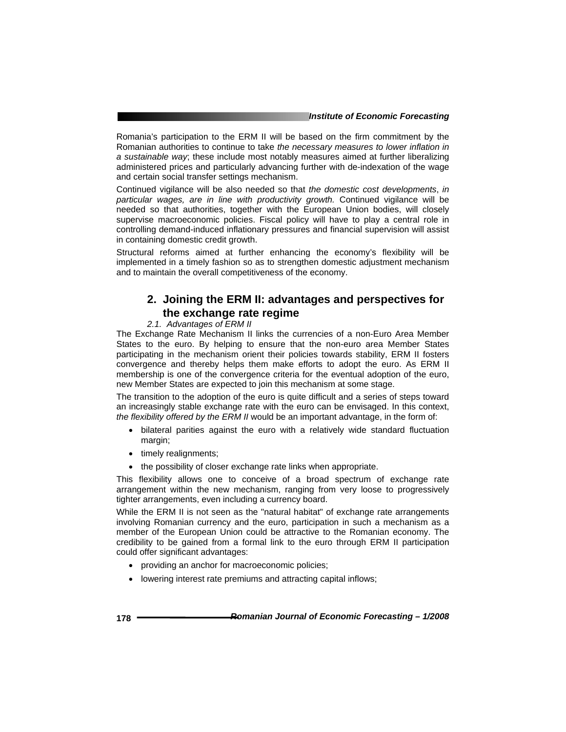Romania's participation to the ERM II will be based on the firm commitment by the Romanian authorities to continue to take *the necessary measures to lower inflation in a sustainable way*; these include most notably measures aimed at further liberalizing administered prices and particularly advancing further with de-indexation of the wage and certain social transfer settings mechanism.

Continued vigilance will be also needed so that *the domestic cost developments*, *in particular wages, are in line with productivity growth.* Continued vigilance will be needed so that authorities, together with the European Union bodies, will closely supervise macroeconomic policies. Fiscal policy will have to play a central role in controlling demand-induced inflationary pressures and financial supervision will assist in containing domestic credit growth.

Structural reforms aimed at further enhancing the economy's flexibility will be implemented in a timely fashion so as to strengthen domestic adjustment mechanism and to maintain the overall competitiveness of the economy.

### **2. Joining the ERM II: advantages and perspectives for the exchange rate regime**

#### *2.1. Advantages of ERM II*

The Exchange Rate Mechanism II links the currencies of a non-Euro Area Member States to the euro. By helping to ensure that the non-euro area Member States participating in the mechanism orient their policies towards stability, ERM II fosters convergence and thereby helps them make efforts to adopt the euro. As ERM II membership is one of the convergence criteria for the eventual adoption of the euro, new Member States are expected to join this mechanism at some stage.

The transition to the adoption of the euro is quite difficult and a series of steps toward an increasingly stable exchange rate with the euro can be envisaged. In this context, *the flexibility offered by the ERM II* would be an important advantage, in the form of:

- bilateral parities against the euro with a relatively wide standard fluctuation margin;
- timely realignments;
- the possibility of closer exchange rate links when appropriate.

This flexibility allows one to conceive of a broad spectrum of exchange rate arrangement within the new mechanism, ranging from very loose to progressively tighter arrangements, even including a currency board.

While the ERM II is not seen as the "natural habitat" of exchange rate arrangements involving Romanian currency and the euro, participation in such a mechanism as a member of the European Union could be attractive to the Romanian economy. The credibility to be gained from a formal link to the euro through ERM II participation could offer significant advantages:

- providing an anchor for macroeconomic policies;
- lowering interest rate premiums and attracting capital inflows;

**178** *Romanian Journal of Economic Forecasting – 1/2008*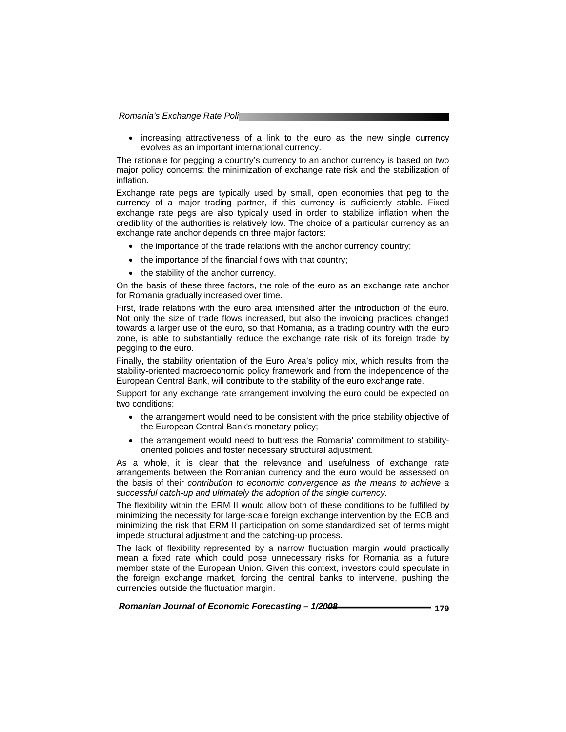*Romania's Exchange Rate Poli* 

• increasing attractiveness of a link to the euro as the new single currency evolves as an important international currency.

The rationale for pegging a country's currency to an anchor currency is based on two major policy concerns: the minimization of exchange rate risk and the stabilization of inflation.

Exchange rate pegs are typically used by small, open economies that peg to the currency of a major trading partner, if this currency is sufficiently stable. Fixed exchange rate pegs are also typically used in order to stabilize inflation when the credibility of the authorities is relatively low. The choice of a particular currency as an exchange rate anchor depends on three major factors:

- the importance of the trade relations with the anchor currency country;
- the importance of the financial flows with that country;
- the stability of the anchor currency.

On the basis of these three factors, the role of the euro as an exchange rate anchor for Romania gradually increased over time.

First, trade relations with the euro area intensified after the introduction of the euro. Not only the size of trade flows increased, but also the invoicing practices changed towards a larger use of the euro, so that Romania, as a trading country with the euro zone, is able to substantially reduce the exchange rate risk of its foreign trade by pegging to the euro.

Finally, the stability orientation of the Euro Area's policy mix, which results from the stability-oriented macroeconomic policy framework and from the independence of the European Central Bank, will contribute to the stability of the euro exchange rate.

Support for any exchange rate arrangement involving the euro could be expected on two conditions:

- the arrangement would need to be consistent with the price stability objective of the European Central Bank's monetary policy;
- the arrangement would need to buttress the Romania' commitment to stabilityoriented policies and foster necessary structural adjustment.

As a whole, it is clear that the relevance and usefulness of exchange rate arrangements between the Romanian currency and the euro would be assessed on the basis of their *contribution to economic convergence as the means to achieve a successful catch-up and ultimately the adoption of the single currency.* 

The flexibility within the ERM II would allow both of these conditions to be fulfilled by minimizing the necessity for large-scale foreign exchange intervention by the ECB and minimizing the risk that ERM II participation on some standardized set of terms might impede structural adjustment and the catching-up process.

The lack of flexibility represented by a narrow fluctuation margin would practically mean a fixed rate which could pose unnecessary risks for Romania as a future member state of the European Union. Given this context, investors could speculate in the foreign exchange market, forcing the central banks to intervene, pushing the currencies outside the fluctuation margin.

| Romanian Journal of Economic Forecasting - 1/2008 | 179 |
|---------------------------------------------------|-----|
|---------------------------------------------------|-----|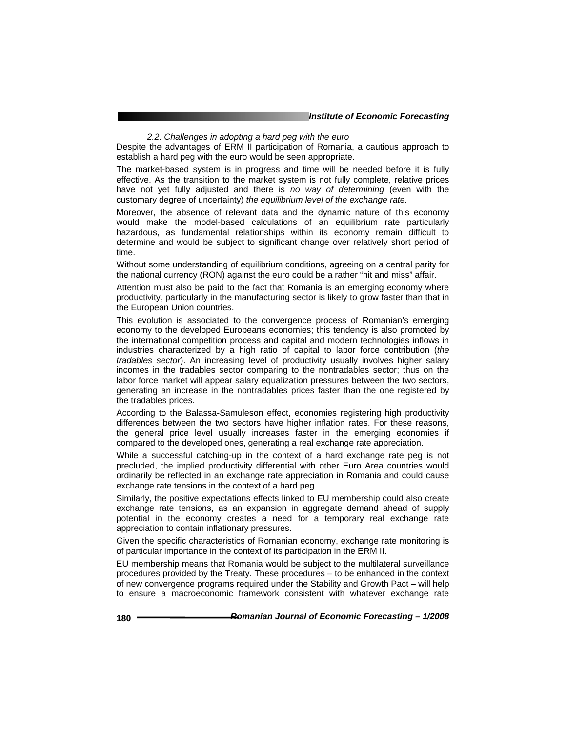*2.2. Challenges in adopting a hard peg with the euro*

Despite the advantages of ERM II participation of Romania, a cautious approach to establish a hard peg with the euro would be seen appropriate.

The market-based system is in progress and time will be needed before it is fully effective. As the transition to the market system is not fully complete, relative prices have not yet fully adjusted and there is *no way of determining* (even with the customary degree of uncertainty) *the equilibrium level of the exchange rate.* 

Moreover, the absence of relevant data and the dynamic nature of this economy would make the model-based calculations of an equilibrium rate particularly hazardous, as fundamental relationships within its economy remain difficult to determine and would be subject to significant change over relatively short period of time.

Without some understanding of equilibrium conditions, agreeing on a central parity for the national currency (RON) against the euro could be a rather "hit and miss" affair.

Attention must also be paid to the fact that Romania is an emerging economy where productivity, particularly in the manufacturing sector is likely to grow faster than that in the European Union countries.

This evolution is associated to the convergence process of Romanian's emerging economy to the developed Europeans economies; this tendency is also promoted by the international competition process and capital and modern technologies inflows in industries characterized by a high ratio of capital to labor force contribution (*the tradables sector*). An increasing level of productivity usually involves higher salary incomes in the tradables sector comparing to the nontradables sector; thus on the labor force market will appear salary equalization pressures between the two sectors, generating an increase in the nontradables prices faster than the one registered by the tradables prices.

According to the Balassa-Samuleson effect, economies registering high productivity differences between the two sectors have higher inflation rates. For these reasons, the general price level usually increases faster in the emerging economies if compared to the developed ones, generating a real exchange rate appreciation.

While a successful catching-up in the context of a hard exchange rate peg is not precluded, the implied productivity differential with other Euro Area countries would ordinarily be reflected in an exchange rate appreciation in Romania and could cause exchange rate tensions in the context of a hard peg.

Similarly, the positive expectations effects linked to EU membership could also create exchange rate tensions, as an expansion in aggregate demand ahead of supply potential in the economy creates a need for a temporary real exchange rate appreciation to contain inflationary pressures.

Given the specific characteristics of Romanian economy, exchange rate monitoring is of particular importance in the context of its participation in the ERM II.

EU membership means that Romania would be subject to the multilateral surveillance procedures provided by the Treaty. These procedures – to be enhanced in the context of new convergence programs required under the Stability and Growth Pact – will help to ensure a macroeconomic framework consistent with whatever exchange rate